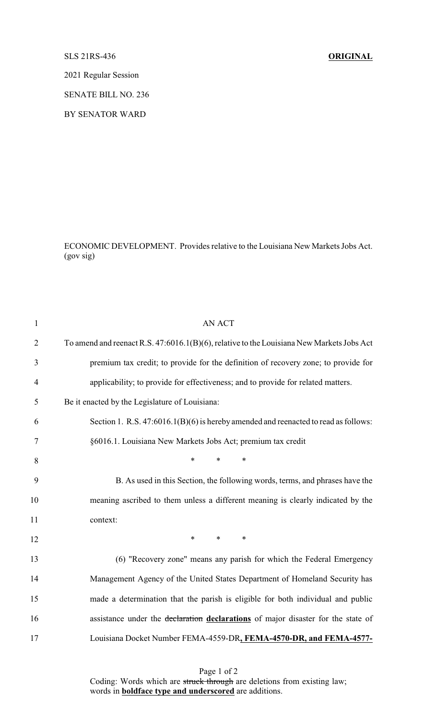## SLS 21RS-436 **ORIGINAL**

2021 Regular Session

SENATE BILL NO. 236

BY SENATOR WARD

ECONOMIC DEVELOPMENT. Provides relative to the Louisiana New Markets Jobs Act. (gov sig)

| $\mathbf{1}$   | <b>AN ACT</b>                                                                             |
|----------------|-------------------------------------------------------------------------------------------|
| $\overline{2}$ | To amend and reenact R.S. 47:6016.1(B)(6), relative to the Louisiana New Markets Jobs Act |
| 3              | premium tax credit; to provide for the definition of recovery zone; to provide for        |
| $\overline{4}$ | applicability; to provide for effectiveness; and to provide for related matters.          |
| 5              | Be it enacted by the Legislature of Louisiana:                                            |
| 6              | Section 1. R.S. 47:6016.1(B)(6) is hereby amended and reenacted to read as follows:       |
| $\tau$         | §6016.1. Louisiana New Markets Jobs Act; premium tax credit                               |
| 8              | $\ast$<br>$\ast$<br>*                                                                     |
| 9              | B. As used in this Section, the following words, terms, and phrases have the              |
| 10             | meaning ascribed to them unless a different meaning is clearly indicated by the           |
| 11             | context:                                                                                  |
| 12             | $\ast$<br>*<br>$\ast$                                                                     |
| 13             | (6) "Recovery zone" means any parish for which the Federal Emergency                      |
| 14             | Management Agency of the United States Department of Homeland Security has                |
| 15             | made a determination that the parish is eligible for both individual and public           |
| 16             | assistance under the declaration declarations of major disaster for the state of          |
| 17             | Louisiana Docket Number FEMA-4559-DR, FEMA-4570-DR, and FEMA-4577-                        |
|                |                                                                                           |

Page 1 of 2 Coding: Words which are struck through are deletions from existing law; words in **boldface type and underscored** are additions.